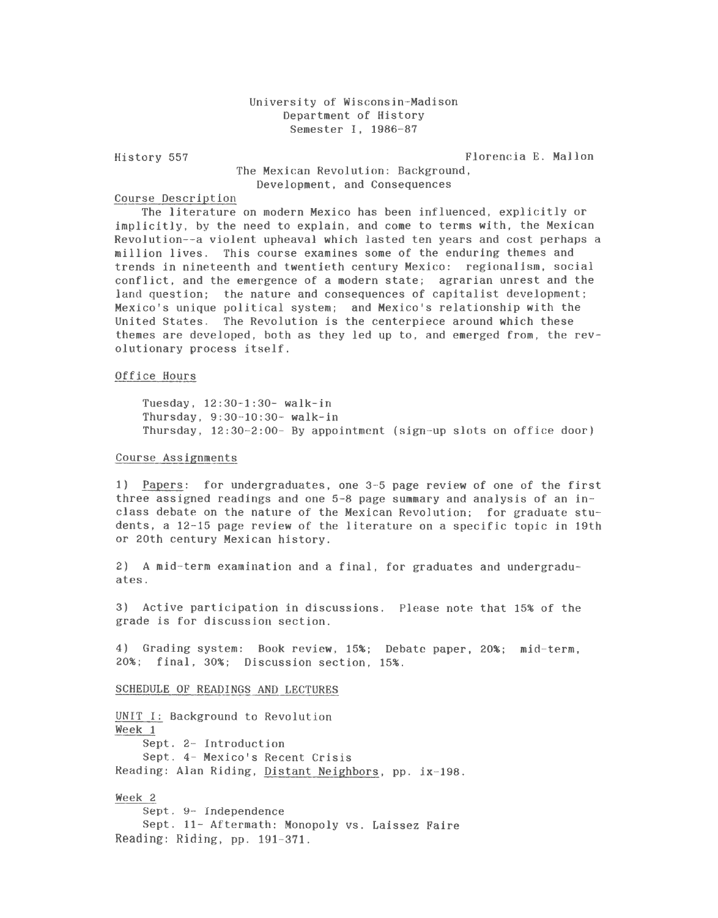# University of Wisconsin-Madison Department of History Semester I, 1986-87

History 557 Florencia E. Mallon

## The Mexican Revolution: Background, Development, and Consequences

### Course Description

The literature on modern Mexico has been influenced, explicitly or implicitly, by the need to explain, and come to terms with, the Mexican Revolution--a violent upheaval which lasted ten years and cost perhaps a million lives. This course examines some of the enduring themes and trends in nineteenth and twentieth century Mexico: regionalism, social conflict, and the emergence of a modern state; agrarian unrest and the land question; the nature and consequences of capitalist development; Mexico's unique political system; and Mexico's relationship with the United States. The Revolution is the centerpiece around which these themes are developed, both as they led up to, and emerged from, the revolutionary process itself.

### Office Hours

Tuesday, 12:30-1:30- walk-in Thursday, 9:30-10:30- walk-in Thursday, 12:30-2:00- By appointment (sign-up slots on office door)

#### Course Assignments

1) Papers: for undergraduates, one 3-5 page review of one of the first three assigned readings and one 5-8 page summary and analysis of an inclass debate on the nature of the Mexican Revolution; for graduate students, a 12-15 page review of the literature on a specific topic in 19th or 20th century Mexican history.

2) A mid-term examination and a final, for graduates and undergraduates.

3) Active participation in discussions. Please note that 15% of the grade is for discussion section.

4) Grading system: Book review, 15%; Debate paper, 20%; mid-term, 20%; final, 30%; Discussion section, 15%.

#### SCHEDULE OF READINGS AND LECTURES

UNIT I: Background to Revolution Week 1 Sept. 2- Introduction Sept. 4- Mexico's Recent Crisis Reading: Alan Riding, Distant Neighbors, pp. ix-198.

Week 2 Sept. 9- Independence Sept. 11- Aftermath: Monopoly vs. Laissez Faire Reading: Riding, pp. 191-371.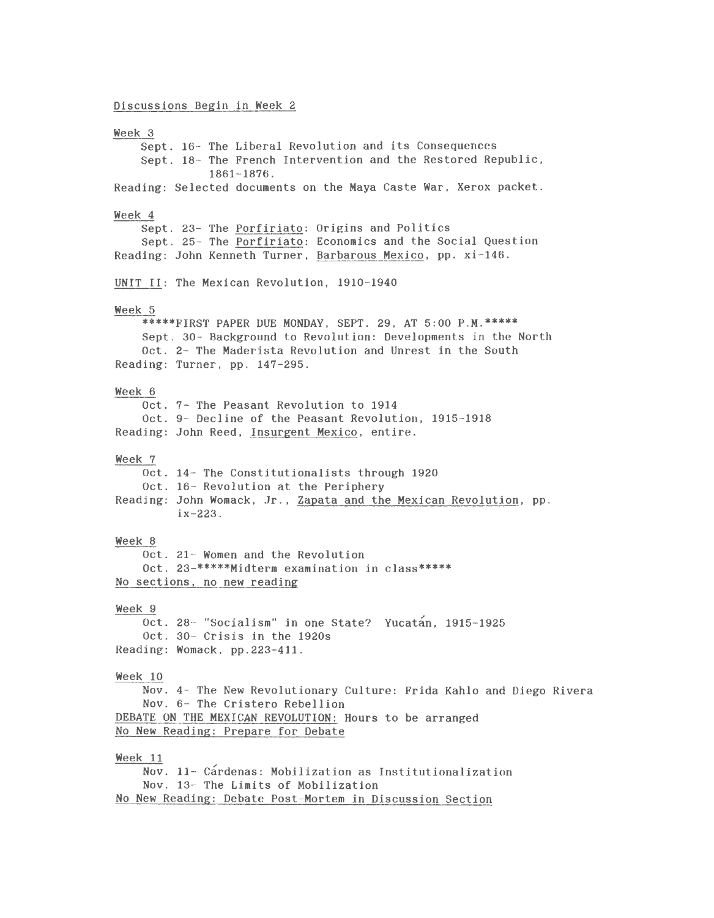Discussions Begin in Week 2

Week 3 Sept. 16- The Liberal Revolution and its Consequences Sept. 18- The French Intervention and the Restored Republic, 1861-1876. Reading: Selected documents on the Maya Caste War, Xerox packet. Week 4 Sept. 23- The Porfiriato: Origins and Politics Sept. 25- The Porfiriato: Economics and the Social Question Reading: John Kenneth Turner, Barbarous Mexico, pp. xi-146. UNIT II: The Mexican Revolution, 1910-1940 Week 5 \*\*\*\*\*FIRST PAPER DUE MONDAY, SEPT. 29, AT 5:00 P.M.\*\*\*\*\* Sept. 30- Background to Revolution: Developments in the North Oct. 2- The Maderista Revolution and Unrest in the South Reading: Turner, pp. 147-295. Week 6 Oct. 7- The Peasant Revolution to 1914 Oct. 9- Decline of the Peasant Revolution, 1915-1918 Reading: John Reed, Insurgent Mexico, entire. Week 7 Oct. 14- The Constitutionalists through 1920 Oct. 16- Revolution at the Periphery Reading: John Womack, Jr., Zapata and the Mexican Revolution, pp. ix-223. Week 8 Oct. 21- Women and the Revolution Oct. 23-\*\*\*\*\*Midtera examination in class\*\*\*\*\* No sections, no new reading Week 9 Oct. 28 - "Socialism" in one State? Yucatan, 1915-1925 Oct. 30- Crisis in the 1920s Reading: Womack, pp.223-411. Week 10 Nov. 4- The New Revolutionary Culture: Frida Kahlo and Diego Rivera Nov. 6- The Cristero Rebellion DEBATE ON THE MEXICAN REVOLUTION: Hours to be arranged No New Reading: Prepare for Debate Week 11 Nov. 11- Cardenas: Mobilization as Institutionalization Nov. 13- The Limits of Mobilization No New Reading: Debate Post-Mortem in Discussion Section